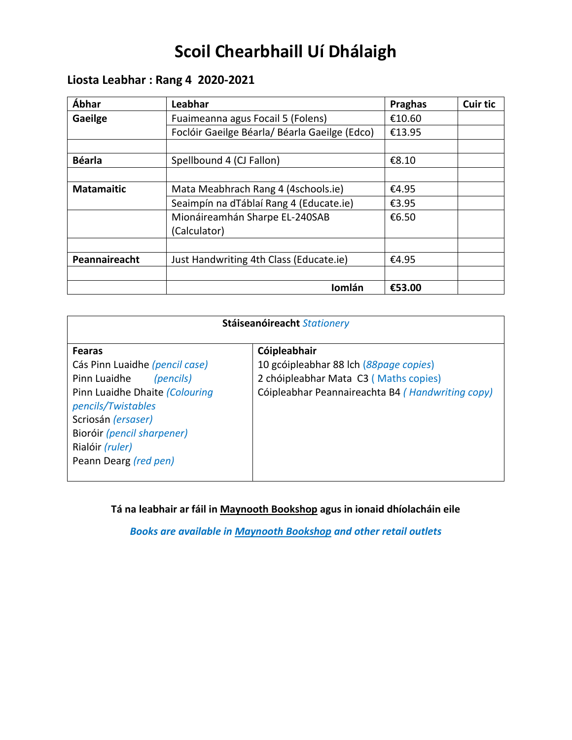# **Scoil Chearbhaill Uí Dhálaigh**

## **Liosta Leabhar : Rang 4 2020-2021**

| Ábhar             | Leabhar                                       | <b>Praghas</b> | <b>Cuir tic</b> |
|-------------------|-----------------------------------------------|----------------|-----------------|
| Gaeilge           | Fuaimeanna agus Focail 5 (Folens)             | €10.60         |                 |
|                   | Foclóir Gaeilge Béarla/ Béarla Gaeilge (Edco) | €13.95         |                 |
|                   |                                               |                |                 |
| <b>Béarla</b>     | Spellbound 4 (CJ Fallon)                      | €8.10          |                 |
|                   |                                               |                |                 |
| <b>Matamaitic</b> | Mata Meabhrach Rang 4 (4schools.ie)           | €4.95          |                 |
|                   | Seaimpín na dTáblaí Rang 4 (Educate.ie)       | €3.95          |                 |
|                   | Mionáireamhán Sharpe EL-240SAB                | €6.50          |                 |
|                   | (Calculator)                                  |                |                 |
|                   |                                               |                |                 |
| Peannaireacht     | Just Handwriting 4th Class (Educate.ie)       | €4.95          |                 |
|                   |                                               |                |                 |
|                   | Iomlán                                        | €53.00         |                 |

| Stáiseanóireacht Stationery                                                                                                                                                                                                          |                                                                                                                                                     |  |
|--------------------------------------------------------------------------------------------------------------------------------------------------------------------------------------------------------------------------------------|-----------------------------------------------------------------------------------------------------------------------------------------------------|--|
| <b>Fearas</b><br>Cás Pinn Luaidhe (pencil case)<br>Pinn Luaidhe<br>(pencils)<br>Pinn Luaidhe Dhaite (Colouring<br>pencils/Twistables<br>Scriosán (ersaser)<br>Bioróir (pencil sharpener)<br>Rialóir (ruler)<br>Peann Dearg (red pen) | Cóipleabhair<br>10 gcóipleabhar 88 lch (88page copies)<br>2 chóipleabhar Mata C3 (Maths copies)<br>Cóipleabhar Peannaireachta B4 (Handwriting copy) |  |

**Tá na leabhair ar fáil in Maynooth Bookshop agus in ionaid dhíolacháin eile**

*Books are available in Maynooth Bookshop and other retail outlets*